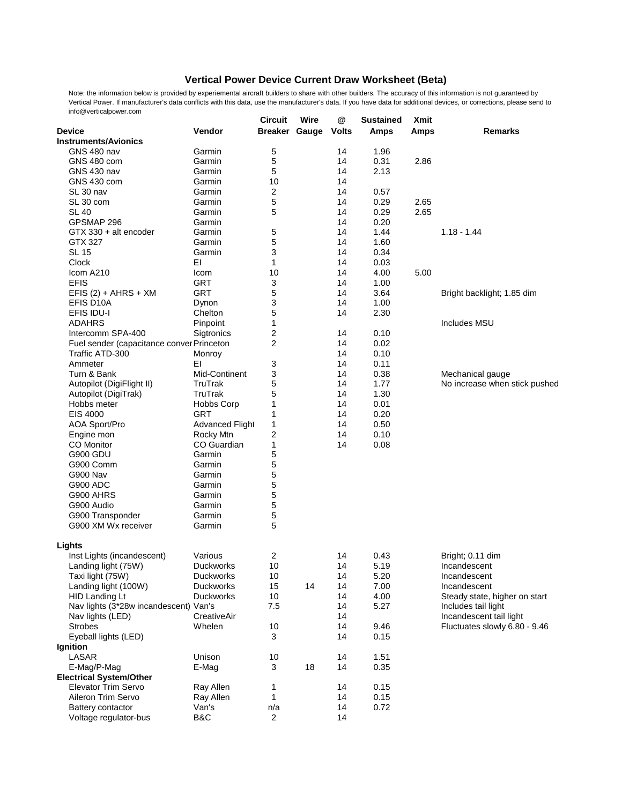## **Vertical Power Device Current Draw Worksheet (Beta)**

Note: the information below is provided by experiemental aircraft builders to share with other builders. The accuracy of this information is not guaranteed by Vertical Power. If manufacturer's data conflicts with this data, use the manufacturer's data. If you have data for additional devices, or corrections, please send to info@verticalpower.com

|                                           |                        | <b>Circuit</b>       | Wire | @            | <b>Sustained</b> | <b>Xmit</b> |                               |
|-------------------------------------------|------------------------|----------------------|------|--------------|------------------|-------------|-------------------------------|
| <b>Device</b>                             | Vendor                 | <b>Breaker Gauge</b> |      | <b>Volts</b> | <b>Amps</b>      | <b>Amps</b> | <b>Remarks</b>                |
| <b>Instruments/Avionics</b>               |                        |                      |      |              |                  |             |                               |
| <b>GNS 480 nav</b>                        | Garmin                 | 5                    |      | 14           | 1.96             |             |                               |
| GNS 480 com                               | Garmin                 | 5                    |      | 14           | 0.31             | 2.86        |                               |
| <b>GNS 430 nav</b>                        | Garmin                 | 5                    |      | 14           | 2.13             |             |                               |
| <b>GNS 430 com</b>                        | Garmin                 | 10                   |      | 14           |                  |             |                               |
| SL 30 nav                                 | Garmin                 | 2                    |      | 14           | 0.57             |             |                               |
| SL 30 com                                 | Garmin                 | 5                    |      | 14           | 0.29             | 2.65        |                               |
| <b>SL 40</b>                              | Garmin                 | 5                    |      | 14           | 0.29             | 2.65        |                               |
| GPSMAP 296                                | Garmin                 |                      |      | 14           | 0.20             |             |                               |
| GTX 330 + alt encoder                     | Garmin                 | 5                    |      | 14           | 1.44             |             | $1.18 - 1.44$                 |
| GTX 327                                   | Garmin                 | 5                    |      | 14           | 1.60             |             |                               |
| <b>SL 15</b>                              | Garmin                 | 3                    |      | 14           | 0.34             |             |                               |
| <b>Clock</b>                              | EI                     | 1                    |      | 14           | 0.03             |             |                               |
| Icom A210                                 | Icom                   | 10                   |      | 14           | 4.00             | 5.00        |                               |
| <b>EFIS</b>                               | <b>GRT</b>             | 3                    |      | 14           | 1.00             |             |                               |
| EFIS $(2) + AHRS + XM$                    | <b>GRT</b>             | 5                    |      | 14           | 3.64             |             | Bright backlight; 1.85 dim    |
| EFIS D10A                                 | Dynon                  | 3                    |      | 14           | 1.00             |             |                               |
| <b>EFIS IDU-I</b>                         | Chelton                | 5                    |      | 14           | 2.30             |             |                               |
| <b>ADAHRS</b>                             | Pinpoint               | 1                    |      |              |                  |             | Includes MSU                  |
| Intercomm SPA-400                         | Sigtronics             | 2                    |      | 14           | 0.10             |             |                               |
|                                           |                        | $\overline{2}$       |      | 14           | 0.02             |             |                               |
| Fuel sender (capacitance conver Princeton |                        |                      |      |              |                  |             |                               |
| Traffic ATD-300                           | Monroy                 |                      |      | 14           | 0.10             |             |                               |
| Ammeter                                   | EI                     | 3                    |      | 14           | 0.11             |             |                               |
| Turn & Bank                               | Mid-Continent          | 3                    |      | 14           | 0.38             |             | Mechanical gauge              |
| Autopilot (DigiFlight II)                 | <b>TruTrak</b>         | 5                    |      | 14           | 1.77             |             | No increase when stick pushed |
| Autopilot (DigiTrak)                      | <b>TruTrak</b>         | 5                    |      | 14           | 1.30             |             |                               |
| Hobbs meter                               | <b>Hobbs Corp</b>      | 1                    |      | 14           | 0.01             |             |                               |
| EIS 4000                                  | <b>GRT</b>             | 1                    |      | 14           | 0.20             |             |                               |
| <b>AOA Sport/Pro</b>                      | <b>Advanced Flight</b> | $\mathbf 1$          |      | 14           | 0.50             |             |                               |
| Engine mon                                | Rocky Mtn              | 2                    |      | 14           | 0.10             |             |                               |
| <b>CO</b> Monitor                         | <b>CO</b> Guardian     | 1                    |      | 14           | 0.08             |             |                               |
| <b>G900 GDU</b>                           | Garmin                 | 5                    |      |              |                  |             |                               |
| G900 Comm                                 | Garmin                 | 5                    |      |              |                  |             |                               |
| G900 Nav                                  | Garmin                 | 5                    |      |              |                  |             |                               |
| <b>G900 ADC</b>                           | Garmin                 | 5                    |      |              |                  |             |                               |
| G900 AHRS                                 | Garmin                 | 5                    |      |              |                  |             |                               |
| G900 Audio                                | Garmin                 | 5                    |      |              |                  |             |                               |
| G900 Transponder                          | Garmin                 | 5                    |      |              |                  |             |                               |
| G900 XM Wx receiver                       | Garmin                 | 5                    |      |              |                  |             |                               |
|                                           |                        |                      |      |              |                  |             |                               |
| Lights                                    |                        |                      |      |              |                  |             |                               |
| Inst Lights (incandescent)                | Various                | $\overline{2}$       |      | 14           | 0.43             |             | Bright; 0.11 dim              |
| Landing light (75W)                       | <b>Duckworks</b>       | 10                   |      | 14           | 5.19             |             | Incandescent                  |
| Taxi light (75W)                          | <b>Duckworks</b>       | 10                   |      | 14           | 5.20             |             | Incandescent                  |
| Landing light (100W)                      | <b>Duckworks</b>       | 15                   | 14   | 14           | 7.00             |             | Incandescent                  |
| <b>HID Landing Lt</b>                     | <b>Duckworks</b>       | 10                   |      | 14           | 4.00             |             | Steady state, higher on start |
| Nav lights (3*28w incandescent) Van's     |                        | 7.5                  |      | 14           | 5.27             |             | Includes tail light           |
| Nav lights (LED)                          | CreativeAir            |                      |      | 14           |                  |             | Incandescent tail light       |
| <b>Strobes</b>                            | Whelen                 | 10                   |      | 14           | 9.46             |             | Fluctuates slowly 6.80 - 9.46 |
| Eyeball lights (LED)                      |                        | 3                    |      | 14           | 0.15             |             |                               |
| Ignition                                  |                        |                      |      |              |                  |             |                               |
| <b>LASAR</b>                              | Unison                 | 10                   |      | 14           | 1.51             |             |                               |
| E-Mag/P-Mag                               | E-Mag                  | 3                    | 18   | 14           | 0.35             |             |                               |
| <b>Electrical System/Other</b>            |                        |                      |      |              |                  |             |                               |
| <b>Elevator Trim Servo</b>                | Ray Allen              | 1                    |      | 14           | 0.15             |             |                               |
| Aileron Trim Servo                        | Ray Allen              | 1                    |      | 14           | 0.15             |             |                               |
| <b>Battery contactor</b>                  | Van's                  | n/a                  |      | 14           | 0.72             |             |                               |
| Voltage regulator-bus                     | B&C                    | $\overline{2}$       |      | 14           |                  |             |                               |